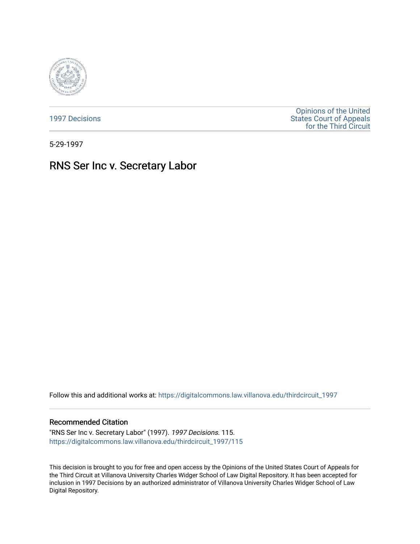

[1997 Decisions](https://digitalcommons.law.villanova.edu/thirdcircuit_1997)

[Opinions of the United](https://digitalcommons.law.villanova.edu/thirdcircuit)  [States Court of Appeals](https://digitalcommons.law.villanova.edu/thirdcircuit)  [for the Third Circuit](https://digitalcommons.law.villanova.edu/thirdcircuit) 

5-29-1997

# RNS Ser Inc v. Secretary Labor

Follow this and additional works at: [https://digitalcommons.law.villanova.edu/thirdcircuit\\_1997](https://digitalcommons.law.villanova.edu/thirdcircuit_1997?utm_source=digitalcommons.law.villanova.edu%2Fthirdcircuit_1997%2F115&utm_medium=PDF&utm_campaign=PDFCoverPages) 

# Recommended Citation

"RNS Ser Inc v. Secretary Labor" (1997). 1997 Decisions. 115. [https://digitalcommons.law.villanova.edu/thirdcircuit\\_1997/115](https://digitalcommons.law.villanova.edu/thirdcircuit_1997/115?utm_source=digitalcommons.law.villanova.edu%2Fthirdcircuit_1997%2F115&utm_medium=PDF&utm_campaign=PDFCoverPages)

This decision is brought to you for free and open access by the Opinions of the United States Court of Appeals for the Third Circuit at Villanova University Charles Widger School of Law Digital Repository. It has been accepted for inclusion in 1997 Decisions by an authorized administrator of Villanova University Charles Widger School of Law Digital Repository.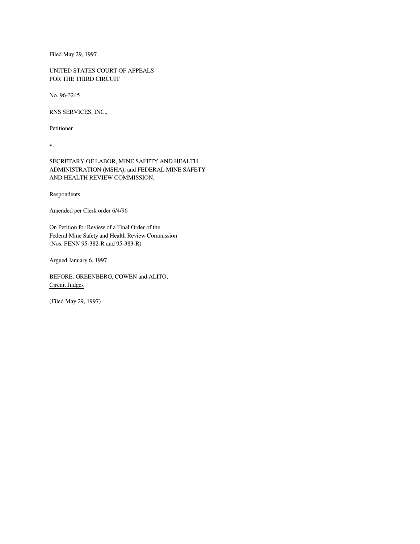Filed May 29, 1997

UNITED STATES COURT OF APPEALS FOR THE THIRD CIRCUIT

No. 96-3245

RNS SERVICES, INC.,

Petitioner

v.

SECRETARY OF LABOR, MINE SAFETY AND HEALTH ADMINISTRATION (MSHA), and FEDERAL MINE SAFETY AND HEALTH REVIEW COMMISSION,

Respondents

Amended per Clerk order 6/4/96

On Petition for Review of a Final Order of the Federal Mine Safety and Health Review Commission (Nos. PENN 95-382-R and 95-383-R)

Argued January 6, 1997

BEFORE: GREENBERG, COWEN and ALITO, Circuit Judges

(Filed May 29, 1997)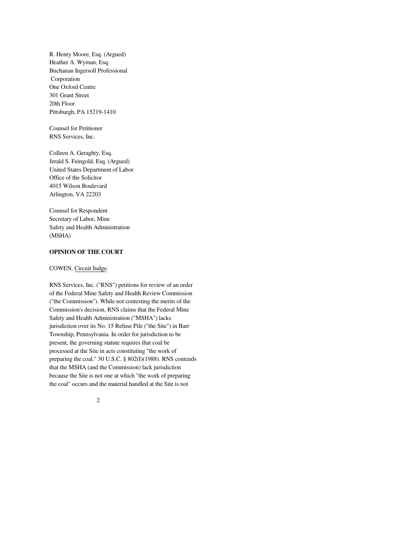R. Henry Moore, Esq. (Argued) Heather A. Wyman, Esq. Buchanan Ingersoll Professional Corporation One Oxford Centre 301 Grant Street 20th Floor Pittsburgh, PA 15219-1410

Counsel for Petitioner RNS Services, Inc.

Colleen A. Geraghty, Esq. Jerald S. Feingold, Esq. (Argued) United States Department of Labor Office of the Solicitor 4015 Wilson Boulevard Arlington, VA 22203

Counsel for Respondent Secretary of Labor, Mine Safety and Health Administration (MSHA)

# **OPINION OF THE COURT**

# COWEN, Circuit Judge.

RNS Services, Inc. ("RNS") petitions for review of an order of the Federal Mine Safety and Health Review Commission ("the Commission"). While not contesting the merits of the Commission's decision, RNS claims that the Federal Mine Safety and Health Administration ("MSHA") lacks jurisdiction over its No. 15 Refuse Pile ("the Site") in Barr Township, Pennsylvania. In order for jurisdiction to be present, the governing statute requires that coal be processed at the Site in acts constituting "the work of preparing the coal." 30 U.S.C. § 802(I)(1988). RNS contends that the MSHA (and the Commission) lack jurisdiction because the Site is not one at which "the work of preparing the coal" occurs and the material handled at the Site is not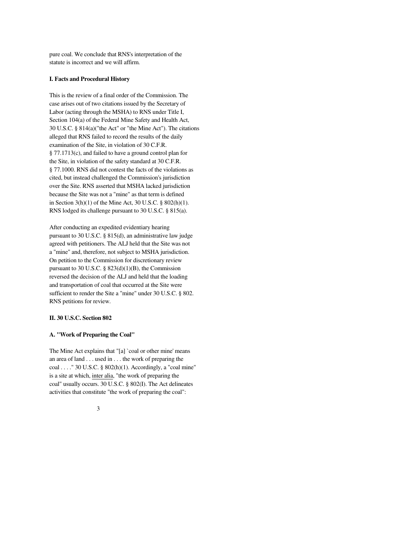pure coal. We conclude that RNS's interpretation of the statute is incorrect and we will affirm.

# **I. Facts and Procedural History**

This is the review of a final order of the Commission. The case arises out of two citations issued by the Secretary of Labor (acting through the MSHA) to RNS under Title I, Section 104(a) of the Federal Mine Safety and Health Act, 30 U.S.C. § 814(a)("the Act" or "the Mine Act"). The citations alleged that RNS failed to record the results of the daily examination of the Site, in violation of 30 C.F.R. § 77.1713(c), and failed to have a ground control plan for the Site, in violation of the safety standard at 30 C.F.R. § 77.1000. RNS did not contest the facts of the violations as cited, but instead challenged the Commission's jurisdiction over the Site. RNS asserted that MSHA lacked jurisdiction because the Site was not a "mine" as that term is defined in Section 3(h)(1) of the Mine Act, 30 U.S.C. § 802(h)(1). RNS lodged its challenge pursuant to 30 U.S.C. § 815(a).

After conducting an expedited evidentiary hearing pursuant to 30 U.S.C. § 815(d), an administrative law judge agreed with petitioners. The ALJ held that the Site was not a "mine" and, therefore, not subject to MSHA jurisdiction. On petition to the Commission for discretionary review pursuant to 30 U.S.C. § 823(d)(1)(B), the Commission reversed the decision of the ALJ and held that the loading and transportation of coal that occurred at the Site were sufficient to render the Site a "mine" under 30 U.S.C. § 802. RNS petitions for review.

# **II. 30 U.S.C. Section 802**

#### **A. "Work of Preparing the Coal"**

The Mine Act explains that "[a] `coal or other mine' means an area of land . . . used in . . . the work of preparing the coal . . . . " 30 U.S.C. §  $802(h)(1)$ . Accordingly, a "coal mine" is a site at which, inter alia, "the work of preparing the coal" usually occurs. 30 U.S.C. § 802(I). The Act delineates activities that constitute "the work of preparing the coal":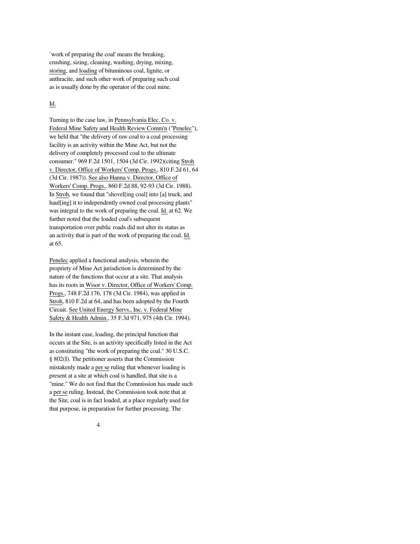`work of preparing the coal' means the breaking, crushing, sizing, cleaning, washing, drying, mixing, storing, and loading of bituminous coal, lignite, or anthracite, and such other work of preparing such coal as is usually done by the operator of the coal mine.

# Id.

Turning to the case law, in Pennsylvania Elec. Co. v. Federal Mine Safety and Health Review Comm'n ("Penelec"), we held that "the delivery of raw coal to a coal processing facility is an activity within the Mine Act, but not the delivery of completely processed coal to the ultimate consumer." 969 F.2d 1501, 1504 (3d Cir. 1992)(citing Stroh v. Director, Office of Workers' Comp. Progs., 810 F.2d 61, 64 (3d Cir. 1987)). See also Hanna v. Director, Office of Workers' Comp. Progs., 860 F.2d 88, 92-93 (3d Cir. 1988). In Stroh, we found that "shovel[ing coal] into [a] truck, and haul<sup>[ing]</sup> it to independently owned coal processing plants" was integral to the work of preparing the coal. Id. at 62. We further noted that the loaded coal's subsequent transportation over public roads did not alter its status as an activity that is part of the work of preparing the coal. Id. at 65.

Penelec applied a functional analysis, wherein the propriety of Mine Act jurisdiction is determined by the nature of the functions that occur at a site. That analysis has its roots in Wisor v. Director, Office of Workers' Comp. Progs., 748 F.2d 176, 178 (3d Cir. 1984), was applied in Stroh, 810 F.2d at 64, and has been adopted by the Fourth Circuit. See United Energy Servs., Inc. v. Federal Mine Safety & Health Admin., 35 F.3d 971, 975 (4th Cir. 1994).

In the instant case, loading, the principal function that occurs at the Site, is an activity specifically listed in the Act as constituting "the work of preparing the coal." 30 U.S.C. § 802(I). The petitioner asserts that the Commission mistakenly made a per se ruling that whenever loading is present at a site at which coal is handled, that site is a "mine." We do not find that the Commission has made such a per se ruling. Instead, the Commission took note that at the Site, coal is in fact loaded, at a place regularly used for that purpose, in preparation for further processing. The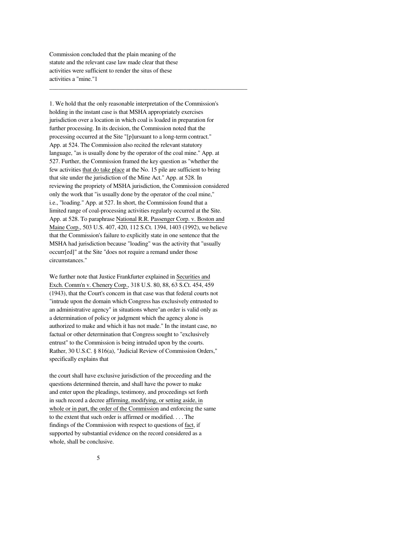Commission concluded that the plain meaning of the statute and the relevant case law made clear that these activities were sufficient to render the situs of these activities a "mine."1

1. We hold that the only reasonable interpretation of the Commission's holding in the instant case is that MSHA appropriately exercises jurisdiction over a location in which coal is loaded in preparation for further processing. In its decision, the Commission noted that the processing occurred at the Site "[p]ursuant to a long-term contract." App. at 524. The Commission also recited the relevant statutory language, "as is usually done by the operator of the coal mine." App. at 527. Further, the Commission framed the key question as "whether the few activities that do take place at the No. 15 pile are sufficient to bring that site under the jurisdiction of the Mine Act." App. at 528. In reviewing the propriety of MSHA jurisdiction, the Commission considered only the work that "is usually done by the operator of the coal mine," i.e., "loading." App. at 527. In short, the Commission found that a limited range of coal-processing activities regularly occurred at the Site. App. at 528. To paraphrase National R.R. Passenger Corp. v. Boston and Maine Corp., 503 U.S. 407, 420, 112 S.Ct. 1394, 1403 (1992), we believe that the Commission's failure to explicitly state in one sentence that the MSHA had jurisdiction because "loading" was the activity that "usually occurr[ed]" at the Site "does not require a remand under those circumstances."

\_\_\_\_\_\_\_\_\_\_\_\_\_\_\_\_\_\_\_\_\_\_\_\_\_\_\_\_\_\_\_\_\_\_\_\_\_\_\_\_\_\_\_\_\_\_\_\_\_\_\_\_\_\_\_\_\_\_\_\_\_\_\_\_\_

We further note that Justice Frankfurter explained in Securities and Exch. Comm'n v. Chenery Corp., 318 U.S. 80, 88, 63 S.Ct. 454, 459 (1943), that the Court's concern in that case was that federal courts not "intrude upon the domain which Congress has exclusively entrusted to an administrative agency" in situations where"an order is valid only as a determination of policy or judgment which the agency alone is authorized to make and which it has not made." In the instant case, no factual or other determination that Congress sought to "exclusively entrust" to the Commission is being intruded upon by the courts. Rather, 30 U.S.C. § 816(a), "Judicial Review of Commission Orders," specifically explains that

the court shall have exclusive jurisdiction of the proceeding and the questions determined therein, and shall have the power to make and enter upon the pleadings, testimony, and proceedings set forth in such record a decree affirming, modifying, or setting aside, in whole or in part, the order of the Commission and enforcing the same to the extent that such order is affirmed or modified. . . . The findings of the Commission with respect to questions of fact, if supported by substantial evidence on the record considered as a whole, shall be conclusive.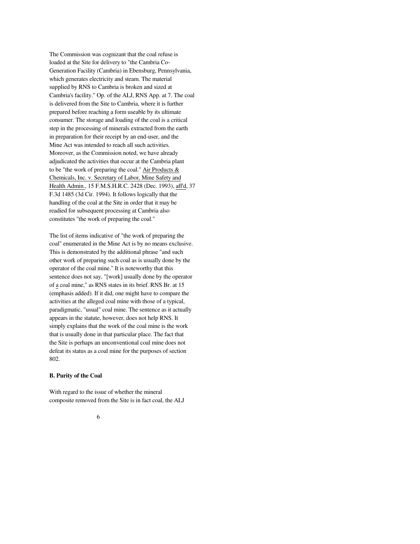The Commission was cognizant that the coal refuse is loaded at the Site for delivery to "the Cambria Co-Generation Facility (Cambria) in Ebensburg, Pennsylvania, which generates electricity and steam. The material supplied by RNS to Cambria is broken and sized at Cambria's facility." Op. of the ALJ, RNS App. at 7. The coal is delivered from the Site to Cambria, where it is further prepared before reaching a form useable by its ultimate consumer. The storage and loading of the coal is a critical step in the processing of minerals extracted from the earth in preparation for their receipt by an end-user, and the Mine Act was intended to reach all such activities. Moreover, as the Commission noted, we have already adjudicated the activities that occur at the Cambria plant to be "the work of preparing the coal." Air Products & Chemicals, Inc. v. Secretary of Labor, Mine Safety and Health Admin., 15 F.M.S.H.R.C. 2428 (Dec. 1993), aff'd, 37 F.3d 1485 (3d Cir. 1994). It follows logically that the handling of the coal at the Site in order that it may be readied for subsequent processing at Cambria also constitutes "the work of preparing the coal."

The list of items indicative of "the work of preparing the coal" enumerated in the Mine Act is by no means exclusive. This is demonstrated by the additional phrase "and such other work of preparing such coal as is usually done by the operator of the coal mine." It is noteworthy that this sentence does not say, "[work] usually done by the operator of a coal mine," as RNS states in its brief. RNS Br. at 15 (emphasis added). If it did, one might have to compare the activities at the alleged coal mine with those of a typical, paradigmatic, "usual" coal mine. The sentence as it actually appears in the statute, however, does not help RNS. It simply explains that the work of the coal mine is the work that is usually done in that particular place. The fact that the Site is perhaps an unconventional coal mine does not defeat its status as a coal mine for the purposes of section 802.

# **B. Purity of the Coal**

With regard to the issue of whether the mineral composite removed from the Site is in fact coal, the ALJ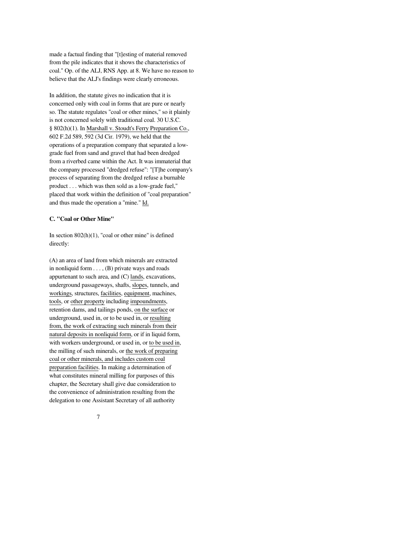made a factual finding that "[t]esting of material removed from the pile indicates that it shows the characteristics of coal." Op. of the ALJ, RNS App. at 8. We have no reason to believe that the ALJ's findings were clearly erroneous.

In addition, the statute gives no indication that it is concerned only with coal in forms that are pure or nearly so. The statute regulates "coal or other mines," so it plainly is not concerned solely with traditional coal. 30 U.S.C. § 802(h)(1). In Marshall v. Stoudt's Ferry Preparation Co., 602 F.2d 589, 592 (3d Cir. 1979), we held that the operations of a preparation company that separated a lowgrade fuel from sand and gravel that had been dredged from a riverbed came within the Act. It was immaterial that the company processed "dredged refuse": "[T]he company's process of separating from the dredged refuse a burnable product . . . which was then sold as a low-grade fuel," placed that work within the definition of "coal preparation" and thus made the operation a "mine." Id.

#### **C. "Coal or Other Mine"**

In section  $802(h)(1)$ , "coal or other mine" is defined directly:

(A) an area of land from which minerals are extracted in nonliquid form . . . , (B) private ways and roads appurtenant to such area, and (C) lands, excavations, underground passageways, shafts, slopes, tunnels, and workings, structures, facilities, equipment, machines, tools, or other property including impoundments, retention dams, and tailings ponds, on the surface or underground, used in, or to be used in, or resulting from, the work of extracting such minerals from their natural deposits in nonliquid form, or if in liquid form, with workers underground, or used in, or to be used in, the milling of such minerals, or the work of preparing coal or other minerals, and includes custom coal preparation facilities. In making a determination of what constitutes mineral milling for purposes of this chapter, the Secretary shall give due consideration to the convenience of administration resulting from the delegation to one Assistant Secretary of all authority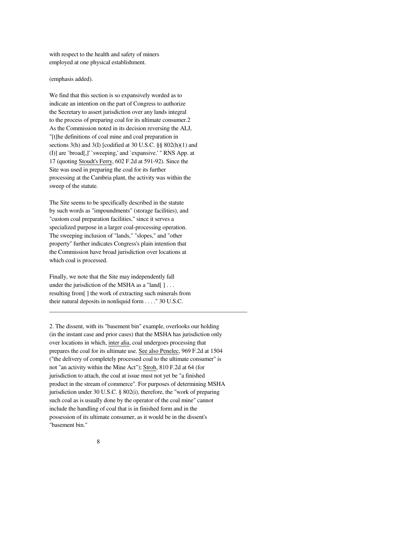with respect to the health and safety of miners employed at one physical establishment.

(emphasis added).

We find that this section is so expansively worded as to indicate an intention on the part of Congress to authorize the Secretary to assert jurisdiction over any lands integral to the process of preparing coal for its ultimate consumer.2 As the Commission noted in its decision reversing the ALJ, "[t]he definitions of coal mine and coal preparation in sections 3(h) and 3(I) [codified at 30 U.S.C. §§ 802(h)(1) and (I)] are `broad[,]' `sweeping,' and `expansive.' " RNS App. at 17 (quoting Stoudt's Ferry, 602 F.2d at 591-92). Since the Site was used in preparing the coal for its further processing at the Cambria plant, the activity was within the sweep of the statute.

The Site seems to be specifically described in the statute by such words as "impoundments" (storage facilities), and "custom coal preparation facilities," since it serves a specialized purpose in a larger coal-processing operation. The sweeping inclusion of "lands," "slopes," and "other property" further indicates Congress's plain intention that the Commission have broad jurisdiction over locations at which coal is processed.

Finally, we note that the Site may independently fall under the jurisdiction of the MSHA as a "land $[ \ ] \dots$ resulting from[ ] the work of extracting such minerals from their natural deposits in nonliquid form . . . ." 30 U.S.C.

2. The dissent, with its "basement bin" example, overlooks our holding (in the instant case and prior cases) that the MSHA has jurisdiction only over locations in which, inter alia, coal undergoes processing that prepares the coal for its ultimate use. See also Penelec, 969 F.2d at 1504 ("the delivery of completely processed coal to the ultimate consumer" is not "an activity within the Mine Act"); Stroh, 810 F.2d at 64 (for jurisdiction to attach, the coal at issue must not yet be "a finished product in the stream of commerce". For purposes of determining MSHA jurisdiction under 30 U.S.C. § 802(i), therefore, the "work of preparing such coal as is usually done by the operator of the coal mine" cannot include the handling of coal that is in finished form and in the possession of its ultimate consumer, as it would be in the dissent's "basement bin."

\_\_\_\_\_\_\_\_\_\_\_\_\_\_\_\_\_\_\_\_\_\_\_\_\_\_\_\_\_\_\_\_\_\_\_\_\_\_\_\_\_\_\_\_\_\_\_\_\_\_\_\_\_\_\_\_\_\_\_\_\_\_\_\_\_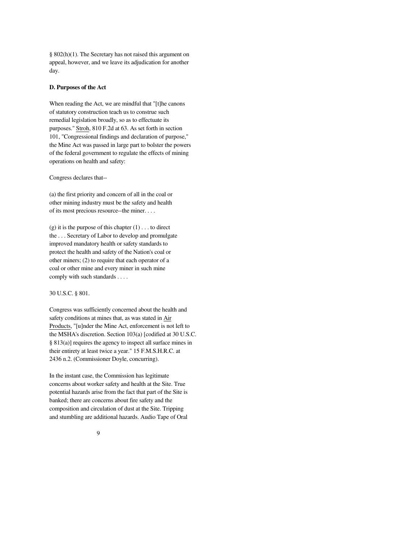§ 802(h)(1). The Secretary has not raised this argument on appeal, however, and we leave its adjudication for another day.

# **D. Purposes of the Act**

When reading the Act, we are mindful that "[t]he canons of statutory construction teach us to construe such remedial legislation broadly, so as to effectuate its purposes." Stroh, 810 F.2d at 63. As set forth in section 101, "Congressional findings and declaration of purpose," the Mine Act was passed in large part to bolster the powers of the federal government to regulate the effects of mining operations on health and safety:

Congress declares that--

(a) the first priority and concern of all in the coal or other mining industry must be the safety and health of its most precious resource--the miner. . . .

(g) it is the purpose of this chapter  $(1) \dots$  to direct the . . . Secretary of Labor to develop and promulgate improved mandatory health or safety standards to protect the health and safety of the Nation's coal or other miners; (2) to require that each operator of a coal or other mine and every miner in such mine comply with such standards . . . .

#### 30 U.S.C. § 801.

Congress was sufficiently concerned about the health and safety conditions at mines that, as was stated in Air Products, "[u]nder the Mine Act, enforcement is not left to the MSHA's discretion. Section 103(a) [codified at 30 U.S.C. § 813(a)] requires the agency to inspect all surface mines in their entirety at least twice a year." 15 F.M.S.H.R.C. at 2436 n.2. (Commissioner Doyle, concurring).

In the instant case, the Commission has legitimate concerns about worker safety and health at the Site. True potential hazards arise from the fact that part of the Site is banked; there are concerns about fire safety and the composition and circulation of dust at the Site. Tripping and stumbling are additional hazards. Audio Tape of Oral

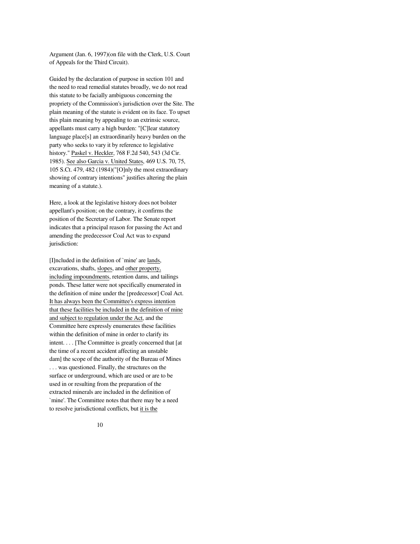Argument (Jan. 6, 1997)(on file with the Clerk, U.S. Court of Appeals for the Third Circuit).

Guided by the declaration of purpose in section 101 and the need to read remedial statutes broadly, we do not read this statute to be facially ambiguous concerning the propriety of the Commission's jurisdiction over the Site. The plain meaning of the statute is evident on its face. To upset this plain meaning by appealing to an extrinsic source, appellants must carry a high burden: "[C]lear statutory language place[s] an extraordinarily heavy burden on the party who seeks to vary it by reference to legislative history." Paskel v. Heckler, 768 F.2d 540, 543 (3d Cir. 1985). See also Garcia v. United States, 469 U.S. 70, 75, 105 S.Ct. 479, 482 (1984)("[O]nly the most extraordinary showing of contrary intentions" justifies altering the plain meaning of a statute.).

Here, a look at the legislative history does not bolster appellant's position; on the contrary, it confirms the position of the Secretary of Labor. The Senate report indicates that a principal reason for passing the Act and amending the predecessor Coal Act was to expand jurisdiction:

[I]ncluded in the definition of `mine' are lands, excavations, shafts, slopes, and other property, including impoundments, retention dams, and tailings ponds. These latter were not specifically enumerated in the definition of mine under the [predecessor] Coal Act. It has always been the Committee's express intention that these facilities be included in the definition of mine and subject to regulation under the Act, and the Committee here expressly enumerates these facilities within the definition of mine in order to clarify its intent. . . . [The Committee is greatly concerned that [at the time of a recent accident affecting an unstable dam] the scope of the authority of the Bureau of Mines . . . was questioned. Finally, the structures on the surface or underground, which are used or are to be used in or resulting from the preparation of the extracted minerals are included in the definition of `mine'. The Committee notes that there may be a need to resolve jurisdictional conflicts, but it is the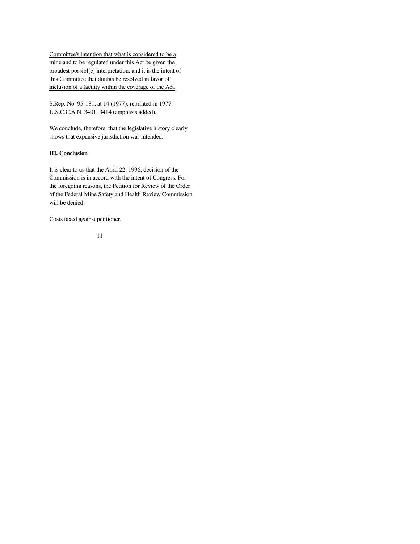Committee's intention that what is considered to be a mine and to be regulated under this Act be given the broadest possibl[e] interpretation, and it is the intent of this Committee that doubts be resolved in favor of inclusion of a facility within the coverage of the Act.

S.Rep. No. 95-181, at 14 (1977), reprinted in 1977 U.S.C.C.A.N. 3401, 3414 (emphasis added).

We conclude, therefore, that the legislative history clearly shows that expansive jurisdiction was intended.

# **III. Conclusion**

It is clear to us that the April 22, 1996, decision of the Commission is in accord with the intent of Congress. For the foregoing reasons, the Petition for Review of the Order of the Federal Mine Safety and Health Review Commission will be denied.

Costs taxed against petitioner.

$$
11\,
$$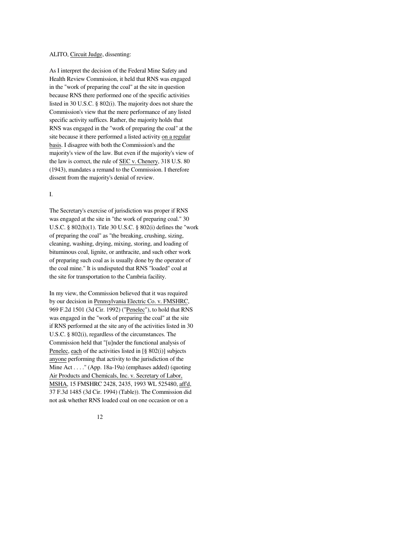#### ALITO, Circuit Judge, dissenting:

As I interpret the decision of the Federal Mine Safety and Health Review Commission, it held that RNS was engaged in the "work of preparing the coal" at the site in question because RNS there performed one of the specific activities listed in 30 U.S.C. § 802(i). The majority does not share the Commission's view that the mere performance of any listed specific activity suffices. Rather, the majority holds that RNS was engaged in the "work of preparing the coal" at the site because it there performed a listed activity on a regular basis. I disagree with both the Commission's and the majority's view of the law. But even if the majority's view of the law is correct, the rule of SEC v. Chenery, 318 U.S. 80 (1943), mandates a remand to the Commission. I therefore dissent from the majority's denial of review.

#### I.

The Secretary's exercise of jurisdiction was proper if RNS was engaged at the site in "the work of preparing coal." 30 U.S.C. § 802(h)(1). Title 30 U.S.C. § 802(i) defines the "work of preparing the coal" as "the breaking, crushing, sizing, cleaning, washing, drying, mixing, storing, and loading of bituminous coal, lignite, or anthracite, and such other work of preparing such coal as is usually done by the operator of the coal mine." It is undisputed that RNS "loaded" coal at the site for transportation to the Cambria facility.

In my view, the Commission believed that it was required by our decision in Pennsylvania Electric Co. v. FMSHRC, 969 F.2d 1501 (3d Cir. 1992) ("Penelec"), to hold that RNS was engaged in the "work of preparing the coal" at the site if RNS performed at the site any of the activities listed in 30 U.S.C. § 802(i), regardless of the circumstances. The Commission held that "[u]nder the functional analysis of Penelec, each of the activities listed in [§ 802(i)] subjects anyone performing that activity to the jurisdiction of the Mine Act . . . ." (App. 18a-19a) (emphases added) (quoting Air Products and Chemicals, Inc. v. Secretary of Labor, MSHA, 15 FMSHRC 2428, 2435, 1993 WL 525480, aff'd, 37 F.3d 1485 (3d Cir. 1994) (Table)). The Commission did not ask whether RNS loaded coal on one occasion or on a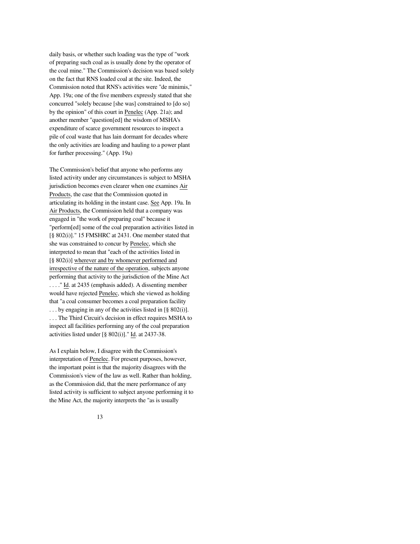daily basis, or whether such loading was the type of "work of preparing such coal as is usually done by the operator of the coal mine." The Commission's decision was based solely on the fact that RNS loaded coal at the site. Indeed, the Commission noted that RNS's activities were "de minimis," App. 19a; one of the five members expressly stated that she concurred "solely because [she was] constrained to [do so] by the opinion" of this court in Penelec (App. 21a); and another member "question[ed] the wisdom of MSHA's expenditure of scarce government resources to inspect a pile of coal waste that has lain dormant for decades where the only activities are loading and hauling to a power plant for further processing." (App. 19a)

The Commission's belief that anyone who performs any listed activity under any circumstances is subject to MSHA jurisdiction becomes even clearer when one examines Air Products, the case that the Commission quoted in articulating its holding in the instant case. See App. 19a. In Air Products, the Commission held that a company was engaged in "the work of preparing coal" because it "perform[ed] some of the coal preparation activities listed in [§ 802(i)]." 15 FMSHRC at 2431. One member stated that she was constrained to concur by Penelec, which she interpreted to mean that "each of the activities listed in [§ 802(i)] wherever and by whomever performed and irrespective of the nature of the operation, subjects anyone performing that activity to the jurisdiction of the Mine Act . . . ." Id. at 2435 (emphasis added). A dissenting member would have rejected Penelec, which she viewed as holding that "a coal consumer becomes a coal preparation facility . . . by engaging in any of the activities listed in [§ 802(i)]. . . . The Third Circuit's decision in effect requires MSHA to inspect all facilities performing any of the coal preparation activities listed under [§ 802(i)]." Id. at 2437-38.

As I explain below, I disagree with the Commission's interpretation of Penelec. For present purposes, however, the important point is that the majority disagrees with the Commission's view of the law as well. Rather than holding, as the Commission did, that the mere performance of any listed activity is sufficient to subject anyone performing it to the Mine Act, the majority interprets the "as is usually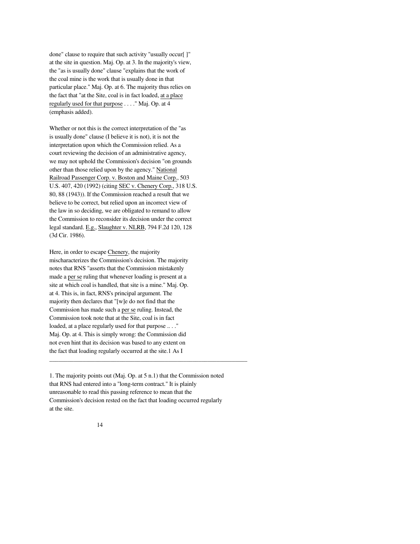done" clause to require that such activity "usually occur[ ]" at the site in question. Maj. Op. at 3. In the majority's view, the "as is usually done" clause "explains that the work of the coal mine is the work that is usually done in that particular place." Maj. Op. at 6. The majority thus relies on the fact that "at the Site, coal is in fact loaded, at a place regularly used for that purpose . . . ." Maj. Op. at 4 (emphasis added).

Whether or not this is the correct interpretation of the "as is usually done" clause (I believe it is not), it is not the interpretation upon which the Commission relied. As a court reviewing the decision of an administrative agency, we may not uphold the Commission's decision "on grounds other than those relied upon by the agency." National Railroad Passenger Corp. v. Boston and Maine Corp., 503 U.S. 407, 420 (1992) (citing SEC v. Chenery Corp., 318 U.S. 80, 88 (1943)). If the Commission reached a result that we believe to be correct, but relied upon an incorrect view of the law in so deciding, we are obligated to remand to allow the Commission to reconsider its decision under the correct legal standard. E.g., Slaughter v. NLRB, 794 F.2d 120, 128 (3d Cir. 1986).

Here, in order to escape Chenery, the majority mischaracterizes the Commission's decision. The majority notes that RNS "asserts that the Commission mistakenly made a per se ruling that whenever loading is present at a site at which coal is handled, that site is a mine." Maj. Op. at 4. This is, in fact, RNS's principal argument. The majority then declares that "[w]e do not find that the Commission has made such a per se ruling. Instead, the Commission took note that at the Site, coal is in fact loaded, at a place regularly used for that purpose ...." Maj. Op. at 4. This is simply wrong: the Commission did not even hint that its decision was based to any extent on the fact that loading regularly occurred at the site.1 As I

1. The majority points out (Maj. Op. at 5 n.1) that the Commission noted that RNS had entered into a "long-term contract." It is plainly unreasonable to read this passing reference to mean that the Commission's decision rested on the fact that loading occurred regularly at the site.

\_\_\_\_\_\_\_\_\_\_\_\_\_\_\_\_\_\_\_\_\_\_\_\_\_\_\_\_\_\_\_\_\_\_\_\_\_\_\_\_\_\_\_\_\_\_\_\_\_\_\_\_\_\_\_\_\_\_\_\_\_\_\_\_\_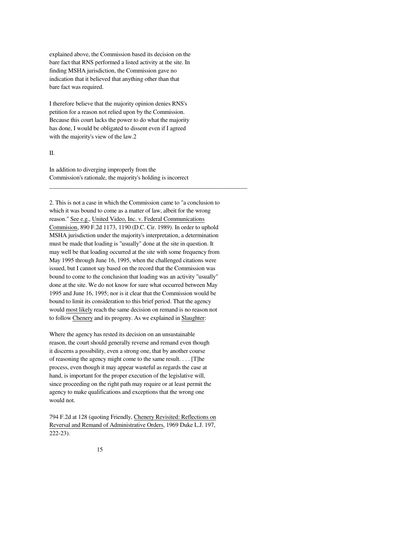explained above, the Commission based its decision on the bare fact that RNS performed a listed activity at the site. In finding MSHA jurisdiction, the Commission gave no indication that it believed that anything other than that bare fact was required.

I therefore believe that the majority opinion denies RNS's petition for a reason not relied upon by the Commission. Because this court lacks the power to do what the majority has done, I would be obligated to dissent even if I agreed with the majority's view of the law.2

#### II.

In addition to diverging improperly from the Commission's rationale, the majority's holding is incorrect

2. This is not a case in which the Commission came to "a conclusion to which it was bound to come as a matter of law, albeit for the wrong reason." See e.g., United Video, Inc. v. Federal Communications Commision, 890 F.2d 1173, 1190 (D.C. Cir. 1989). In order to uphold MSHA jurisdiction under the majority's interpretation, a determination must be made that loading is "usually" done at the site in question. It may well be that loading occurred at the site with some frequency from May 1995 through June 16, 1995, when the challenged citations were issued, but I cannot say based on the record that the Commission was bound to come to the conclusion that loading was an activity "usually" done at the site. We do not know for sure what occurred between May 1995 and June 16, 1995; nor is it clear that the Commission would be bound to limit its consideration to this brief period. That the agency would most likely reach the same decision on remand is no reason not to follow Chenery and its progeny. As we explained in Slaughter:

\_\_\_\_\_\_\_\_\_\_\_\_\_\_\_\_\_\_\_\_\_\_\_\_\_\_\_\_\_\_\_\_\_\_\_\_\_\_\_\_\_\_\_\_\_\_\_\_\_\_\_\_\_\_\_\_\_\_\_\_\_\_\_\_\_

Where the agency has rested its decision on an unsustainable reason, the court should generally reverse and remand even though it discerns a possibility, even a strong one, that by another course of reasoning the agency might come to the same result. . . . [T]he process, even though it may appear wasteful as regards the case at hand, is important for the proper execution of the legislative will, since proceeding on the right path may require or at least permit the agency to make qualifications and exceptions that the wrong one would not.

794 F.2d at 128 (quoting Friendly, Chenery Revisited: Reflections on Reversal and Remand of Administrative Orders, 1969 Duke L.J. 197, 222-23).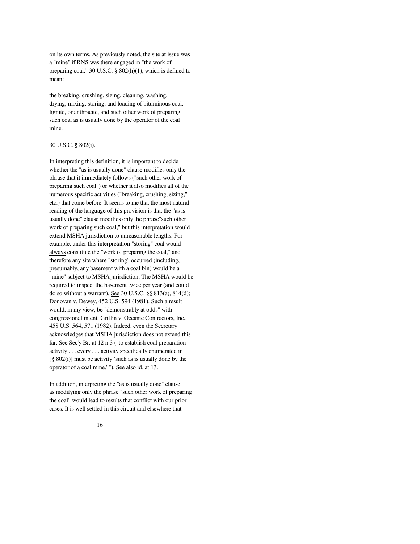on its own terms. As previously noted, the site at issue was a "mine" if RNS was there engaged in "the work of preparing coal," 30 U.S.C. § 802(h)(1), which is defined to mean:

the breaking, crushing, sizing, cleaning, washing, drying, mixing, storing, and loading of bituminous coal, lignite, or anthracite, and such other work of preparing such coal as is usually done by the operator of the coal mine.

#### 30 U.S.C. § 802(i).

In interpreting this definition, it is important to decide whether the "as is usually done" clause modifies only the phrase that it immediately follows ("such other work of preparing such coal") or whether it also modifies all of the numerous specific activities ("breaking, crushing, sizing," etc.) that come before. It seems to me that the most natural reading of the language of this provision is that the "as is usually done" clause modifies only the phrase"such other work of preparing such coal," but this interpretation would extend MSHA jurisdiction to unreasonable lengths. For example, under this interpretation "storing" coal would always constitute the "work of preparing the coal," and therefore any site where "storing" occurred (including, presumably, any basement with a coal bin) would be a "mine" subject to MSHA jurisdiction. The MSHA would be required to inspect the basement twice per year (and could do so without a warrant). See 30 U.S.C. §§ 813(a), 814(d); Donovan v. Dewey, 452 U.S. 594 (1981). Such a result would, in my view, be "demonstrably at odds" with congressional intent. Griffin v. Oceanic Contractors, Inc., 458 U.S. 564, 571 (1982). Indeed, even the Secretary acknowledges that MSHA jurisdiction does not extend this far. See Sec'y Br. at 12 n.3 ("to establish coal preparation activity . . . every . . . activity specifically enumerated in  $[\S 802(i)]$  must be activity `such as is usually done by the operator of a coal mine.' "). See also id. at 13.

In addition, interpreting the "as is usually done" clause as modifying only the phrase "such other work of preparing the coal" would lead to results that conflict with our prior cases. It is well settled in this circuit and elsewhere that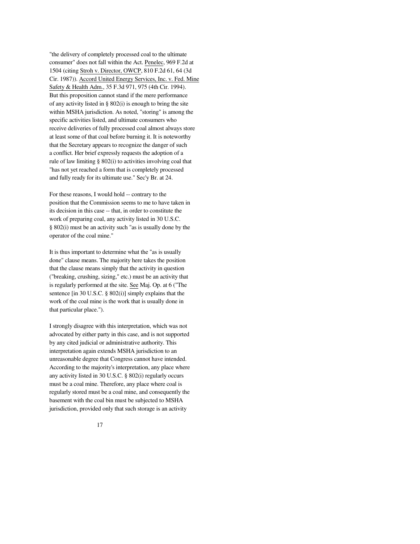"the delivery of completely processed coal to the ultimate consumer" does not fall within the Act. Penelec, 969 F.2d at 1504 (citing Stroh v. Director, OWCP, 810 F.2d 61, 64 (3d Cir. 1987)). Accord United Energy Services, Inc. v. Fed. Mine Safety & Health Adm., 35 F.3d 971, 975 (4th Cir. 1994). But this proposition cannot stand if the mere performance of any activity listed in § 802(i) is enough to bring the site within MSHA jurisdiction. As noted, "storing" is among the specific activities listed, and ultimate consumers who receive deliveries of fully processed coal almost always store at least some of that coal before burning it. It is noteworthy that the Secretary appears to recognize the danger of such a conflict. Her brief expressly requests the adoption of a rule of law limiting § 802(i) to activities involving coal that "has not yet reached a form that is completely processed and fully ready for its ultimate use." Sec'y Br. at 24.

For these reasons, I would hold -- contrary to the position that the Commission seems to me to have taken in its decision in this case -- that, in order to constitute the work of preparing coal, any activity listed in 30 U.S.C. § 802(i) must be an activity such "as is usually done by the operator of the coal mine."

It is thus important to determine what the "as is usually done" clause means. The majority here takes the position that the clause means simply that the activity in question ("breaking, crushing, sizing," etc.) must be an activity that is regularly performed at the site. See Maj. Op. at 6 ("The sentence [in 30 U.S.C. § 802(i)] simply explains that the work of the coal mine is the work that is usually done in that particular place.").

I strongly disagree with this interpretation, which was not advocated by either party in this case, and is not supported by any cited judicial or administrative authority. This interpretation again extends MSHA jurisdiction to an unreasonable degree that Congress cannot have intended. According to the majority's interpretation, any place where any activity listed in 30 U.S.C. § 802(i) regularly occurs must be a coal mine. Therefore, any place where coal is regularly stored must be a coal mine, and consequently the basement with the coal bin must be subjected to MSHA jurisdiction, provided only that such storage is an activity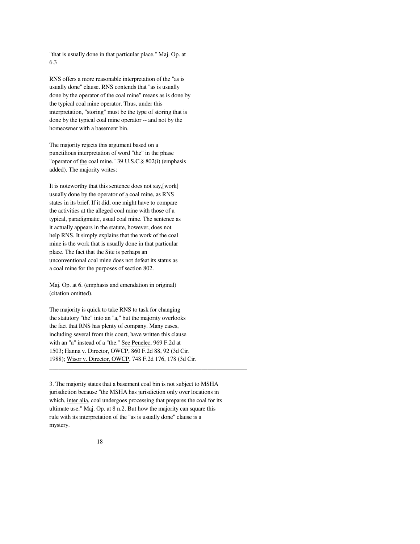"that is usually done in that particular place." Maj. Op. at 6.3

RNS offers a more reasonable interpretation of the "as is usually done" clause. RNS contends that "as is usually done by the operator of the coal mine" means as is done by the typical coal mine operator. Thus, under this interpretation, "storing" must be the type of storing that is done by the typical coal mine operator -- and not by the homeowner with a basement bin.

The majority rejects this argument based on a punctilious interpretation of word "the" in the phase "operator of the coal mine." 39 U.S.C.§ 802(i) (emphasis added). The majority writes:

It is noteworthy that this sentence does not say,[work] usually done by the operator of a coal mine, as RNS states in its brief. If it did, one might have to compare the activities at the alleged coal mine with those of a typical, paradigmatic, usual coal mine. The sentence as it actually appears in the statute, however, does not help RNS. It simply explains that the work of the coal mine is the work that is usually done in that particular place. The fact that the Site is perhaps an unconventional coal mine does not defeat its status as a coal mine for the purposes of section 802.

Maj. Op. at 6. (emphasis and emendation in original) (citation omitted).

The majority is quick to take RNS to task for changing the statutory "the" into an "a," but the majority overlooks the fact that RNS has plenty of company. Many cases, including several from this court, have written this clause with an "a" instead of a "the." See Penelec, 969 F.2d at 1503; Hanna v. Director, OWCP, 860 F.2d 88, 92 (3d Cir. 1988); Wisor v. Director, OWCP, 748 F.2d 176, 178 (3d Cir.

3. The majority states that a basement coal bin is not subject to MSHA jurisdiction because "the MSHA has jurisdiction only over locations in which, inter alia, coal undergoes processing that prepares the coal for its ultimate use." Maj. Op. at 8 n.2. But how the majority can square this rule with its interpretation of the "as is usually done" clause is a mystery.

\_\_\_\_\_\_\_\_\_\_\_\_\_\_\_\_\_\_\_\_\_\_\_\_\_\_\_\_\_\_\_\_\_\_\_\_\_\_\_\_\_\_\_\_\_\_\_\_\_\_\_\_\_\_\_\_\_\_\_\_\_\_\_\_\_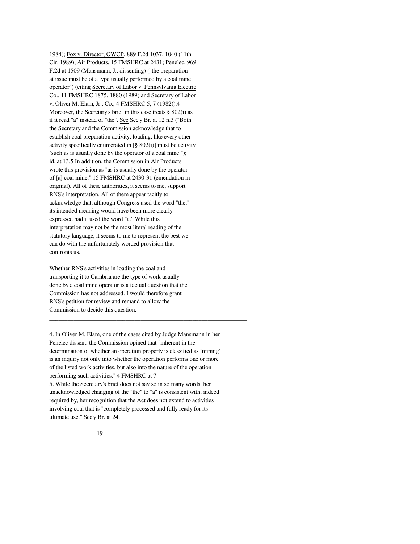1984); Fox v. Director, OWCP, 889 F.2d 1037, 1040 (11th Cir. 1989); Air Products, 15 FMSHRC at 2431; Penelec, 969 F.2d at 1509 (Mansmann, J., dissenting) ("the preparation at issue must be of a type usually performed by a coal mine operator") (citing Secretary of Labor v. Pennsylvania Electric Co., 11 FMSHRC 1875, 1880 (1989) and Secretary of Labor v. Oliver M. Elam, Jr., Co., 4 FMSHRC 5, 7 (1982)).4 Moreover, the Secretary's brief in this case treats § 802(i) as if it read "a" instead of "the". See Sec'y Br. at 12 n.3 ("Both the Secretary and the Commission acknowledge that to establish coal preparation activity, loading, like every other activity specifically enumerated in [§ 802(i)] must be activity `such as is usually done by the operator of a coal mine."); id. at 13.5 In addition, the Commission in Air Products wrote this provision as "as is usually done by the operator of [a] coal mine." 15 FMSHRC at 2430-31 (emendation in original). All of these authorities, it seems to me, support RNS's interpretation. All of them appear tacitly to acknowledge that, although Congress used the word "the," its intended meaning would have been more clearly expressed had it used the word "a." While this interpretation may not be the most literal reading of the statutory language, it seems to me to represent the best we can do with the unfortunately worded provision that confronts us.

Whether RNS's activities in loading the coal and transporting it to Cambria are the type of work usually done by a coal mine operator is a factual question that the Commission has not addressed. I would therefore grant RNS's petition for review and remand to allow the Commission to decide this question.

4. In Oliver M. Elam, one of the cases cited by Judge Mansmann in her Penelec dissent, the Commission opined that "inherent in the determination of whether an operation properly is classified as `mining' is an inquiry not only into whether the operation performs one or more of the listed work activities, but also into the nature of the operation performing such activities." 4 FMSHRC at 7.

\_\_\_\_\_\_\_\_\_\_\_\_\_\_\_\_\_\_\_\_\_\_\_\_\_\_\_\_\_\_\_\_\_\_\_\_\_\_\_\_\_\_\_\_\_\_\_\_\_\_\_\_\_\_\_\_\_\_\_\_\_\_\_\_\_

5. While the Secretary's brief does not say so in so many words, her unacknowledged changing of the "the" to "a" is consistent with, indeed required by, her recognition that the Act does not extend to activities involving coal that is "completely processed and fully ready for its ultimate use." Sec'y Br. at 24.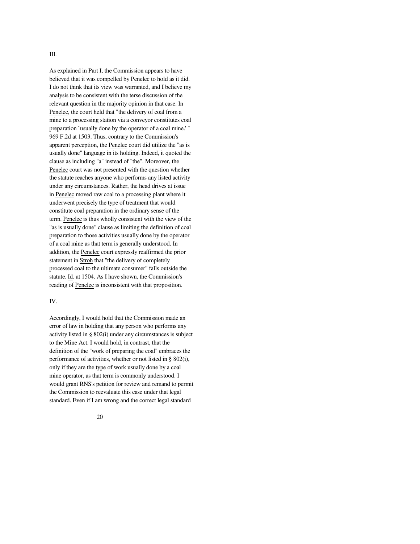As explained in Part I, the Commission appears to have believed that it was compelled by Penelec to hold as it did. I do not think that its view was warranted, and I believe my analysis to be consistent with the terse discussion of the relevant question in the majority opinion in that case. In Penelec, the court held that "the delivery of coal from a mine to a processing station via a conveyor constitutes coal preparation `usually done by the operator of a coal mine.' " 969 F.2d at 1503. Thus, contrary to the Commission's apparent perception, the Penelec court did utilize the "as is usually done" language in its holding. Indeed, it quoted the clause as including "a" instead of "the". Moreover, the Penelec court was not presented with the question whether the statute reaches anyone who performs any listed activity under any circumstances. Rather, the head drives at issue in Penelec moved raw coal to a processing plant where it underwent precisely the type of treatment that would constitute coal preparation in the ordinary sense of the term. Penelec is thus wholly consistent with the view of the "as is usually done" clause as limiting the definition of coal preparation to those activities usually done by the operator of a coal mine as that term is generally understood. In addition, the Penelec court expressly reaffirmed the prior statement in Stroh that "the delivery of completely processed coal to the ultimate consumer" falls outside the statute. Id. at 1504. As I have shown, the Commission's reading of Penelec is inconsistent with that proposition.

#### IV.

Accordingly, I would hold that the Commission made an error of law in holding that any person who performs any activity listed in § 802(i) under any circumstances is subject to the Mine Act. I would hold, in contrast, that the definition of the "work of preparing the coal" embraces the performance of activities, whether or not listed in § 802(i), only if they are the type of work usually done by a coal mine operator, as that term is commonly understood. I would grant RNS's petition for review and remand to permit the Commission to reevaluate this case under that legal standard. Even if I am wrong and the correct legal standard

20

#### III.